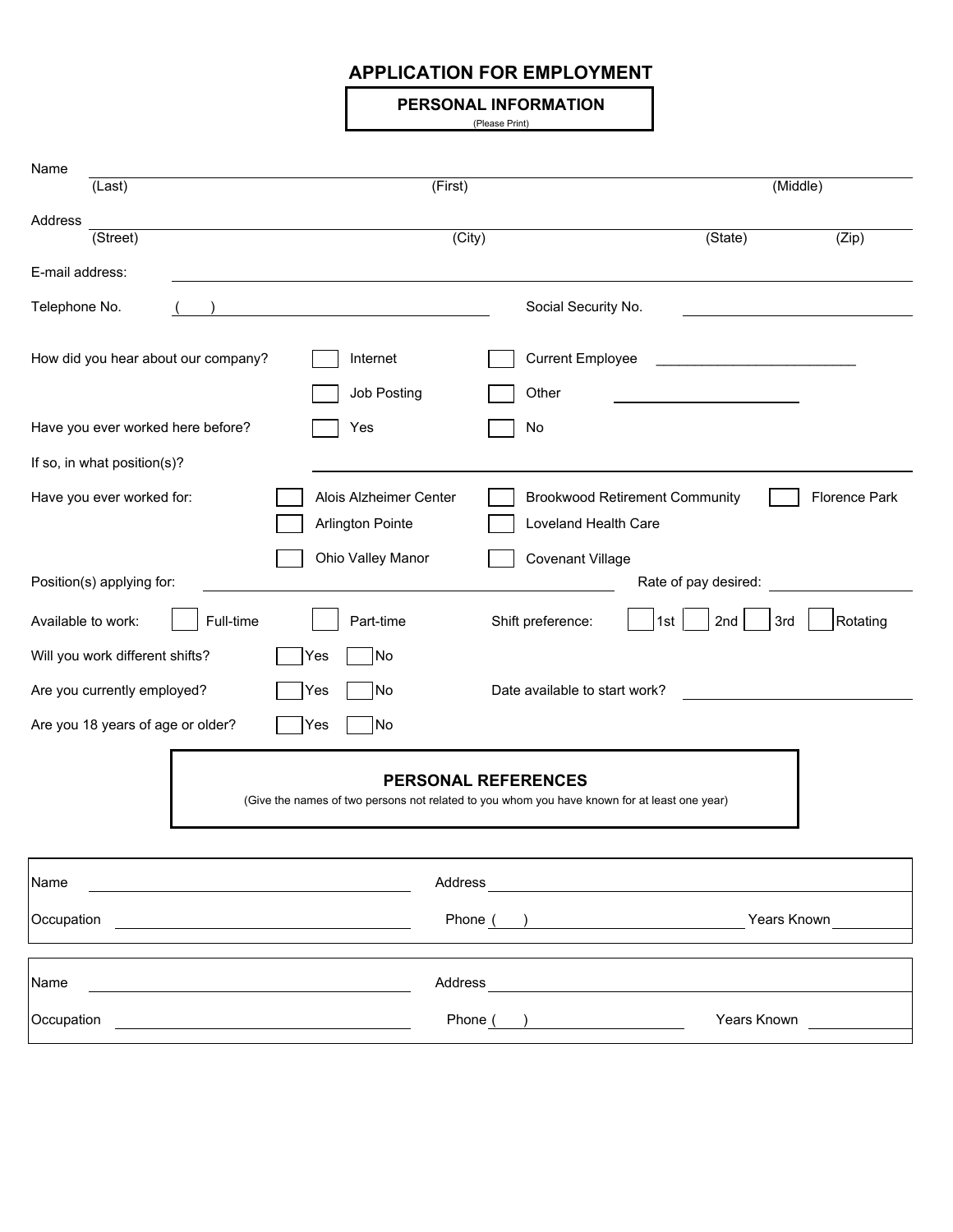## **APPLICATION FOR EMPLOYMENT**

**PERSONAL INFORMATION**

(Please Print)

| Name                                                                                                                                                                                                                                               |                                                                                              |                                       |                      |                      |
|----------------------------------------------------------------------------------------------------------------------------------------------------------------------------------------------------------------------------------------------------|----------------------------------------------------------------------------------------------|---------------------------------------|----------------------|----------------------|
| (Last)                                                                                                                                                                                                                                             | (First)                                                                                      | (Middle)                              |                      |                      |
| Address                                                                                                                                                                                                                                            |                                                                                              |                                       |                      |                      |
| (Street)                                                                                                                                                                                                                                           | (City)                                                                                       |                                       | (State)              | (Zip)                |
| E-mail address:                                                                                                                                                                                                                                    |                                                                                              |                                       |                      |                      |
| Telephone No.                                                                                                                                                                                                                                      |                                                                                              | Social Security No.                   |                      |                      |
|                                                                                                                                                                                                                                                    |                                                                                              |                                       |                      |                      |
| How did you hear about our company?                                                                                                                                                                                                                | Internet                                                                                     | <b>Current Employee</b>               |                      |                      |
|                                                                                                                                                                                                                                                    | Job Posting                                                                                  | Other                                 |                      |                      |
| Have you ever worked here before?                                                                                                                                                                                                                  | Yes                                                                                          | No                                    |                      |                      |
| If so, in what position(s)?                                                                                                                                                                                                                        |                                                                                              |                                       |                      |                      |
| Have you ever worked for:                                                                                                                                                                                                                          | Alois Alzheimer Center                                                                       | <b>Brookwood Retirement Community</b> |                      | <b>Florence Park</b> |
|                                                                                                                                                                                                                                                    | <b>Arlington Pointe</b>                                                                      | Loveland Health Care                  |                      |                      |
|                                                                                                                                                                                                                                                    | Ohio Valley Manor                                                                            | <b>Covenant Village</b>               |                      |                      |
| Position(s) applying for:                                                                                                                                                                                                                          |                                                                                              |                                       | Rate of pay desired: |                      |
| Available to work:<br>Full-time                                                                                                                                                                                                                    | Part-time                                                                                    | Shift preference:                     | 2nd<br>1st<br>3rd    | Rotating             |
| Will you work different shifts?                                                                                                                                                                                                                    | No<br>Yes                                                                                    |                                       |                      |                      |
| Are you currently employed?                                                                                                                                                                                                                        | No<br>Yes                                                                                    | Date available to start work?         |                      |                      |
| Are you 18 years of age or older?                                                                                                                                                                                                                  | Yes<br>No                                                                                    |                                       |                      |                      |
|                                                                                                                                                                                                                                                    |                                                                                              |                                       |                      |                      |
|                                                                                                                                                                                                                                                    | (Give the names of two persons not related to you whom you have known for at least one year) | <b>PERSONAL REFERENCES</b>            |                      |                      |
|                                                                                                                                                                                                                                                    |                                                                                              |                                       |                      |                      |
|                                                                                                                                                                                                                                                    |                                                                                              |                                       |                      |                      |
| Name<br><u>and the state of the state of the state of the state of the state of the state of the state of the state of th</u>                                                                                                                      |                                                                                              |                                       |                      |                      |
| Occupation<br><u>and the state of the state of the state of the state of the state of the state of the state of the state of the state of the state of the state of the state of the state of the state of the state of the state of the state</u> |                                                                                              |                                       | Phone () Years Known |                      |
|                                                                                                                                                                                                                                                    |                                                                                              |                                       |                      |                      |
| Name                                                                                                                                                                                                                                               |                                                                                              |                                       |                      |                      |
| Occupation                                                                                                                                                                                                                                         |                                                                                              | Phone ( )                             | <b>Years Known</b>   |                      |
|                                                                                                                                                                                                                                                    |                                                                                              |                                       |                      |                      |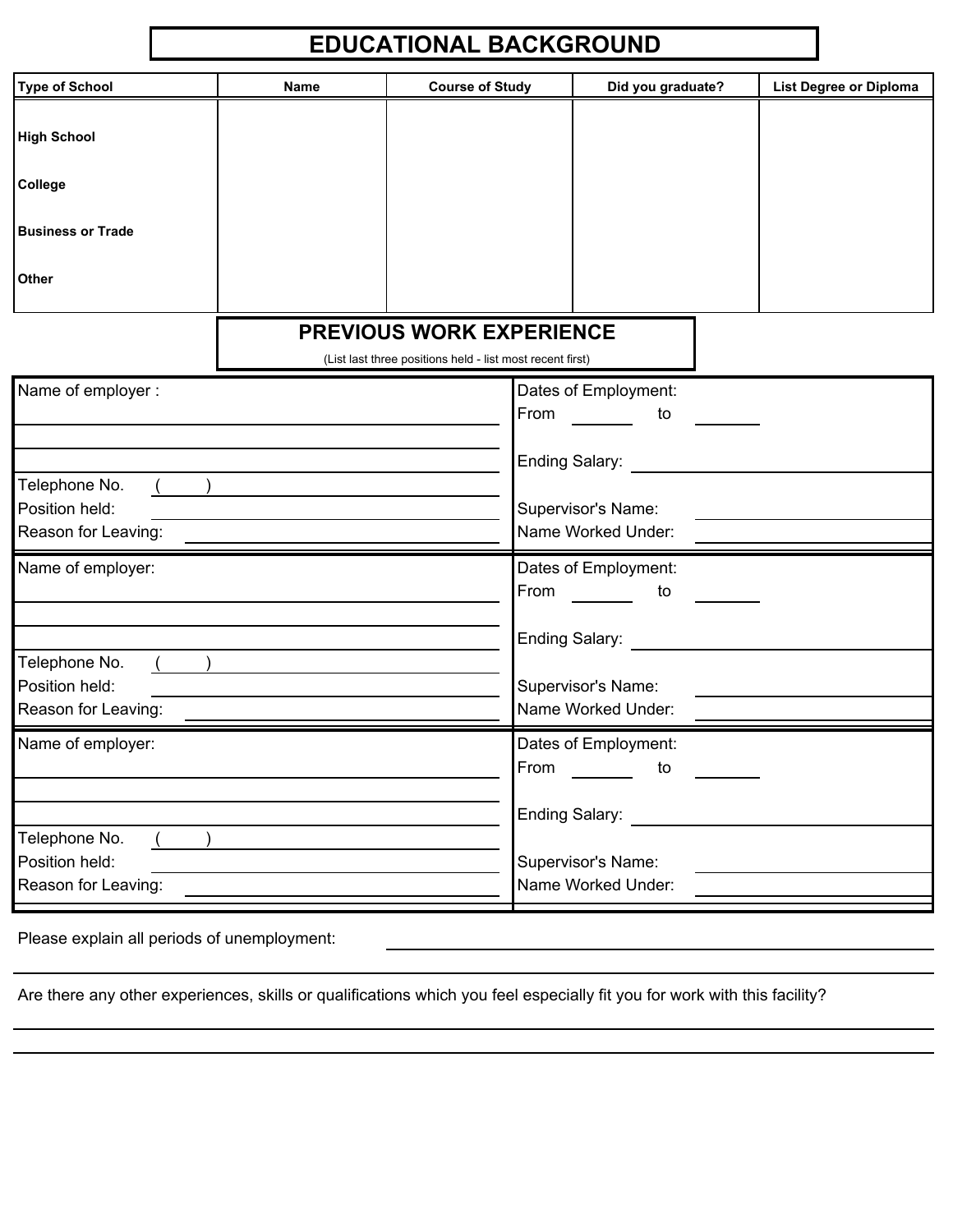## **EDUCATIONAL BACKGROUND**

| <b>Type of School</b>                                  | <b>Name</b> | <b>Course of Study</b>                                    | Did you graduate?                        |  | List Degree or Diploma |  |
|--------------------------------------------------------|-------------|-----------------------------------------------------------|------------------------------------------|--|------------------------|--|
| <b>High School</b>                                     |             |                                                           |                                          |  |                        |  |
| College                                                |             |                                                           |                                          |  |                        |  |
| <b>Business or Trade</b>                               |             |                                                           |                                          |  |                        |  |
| Other                                                  |             |                                                           |                                          |  |                        |  |
|                                                        |             | <b>PREVIOUS WORK EXPERIENCE</b>                           |                                          |  |                        |  |
|                                                        |             | (List last three positions held - list most recent first) |                                          |  |                        |  |
| Name of employer :                                     |             | From                                                      | Dates of Employment:<br>to               |  |                        |  |
|                                                        |             |                                                           | <b>Ending Salary:</b>                    |  |                        |  |
| Telephone No.<br>Position held:<br>Reason for Leaving: |             |                                                           | Supervisor's Name:<br>Name Worked Under: |  |                        |  |
| Name of employer:                                      |             | From                                                      | Dates of Employment:<br>to               |  |                        |  |
|                                                        |             |                                                           | Ending Salary:                           |  |                        |  |
| Telephone No.<br>Position held:<br>Reason for Leaving: |             |                                                           | Supervisor's Name:<br>Name Worked Under: |  |                        |  |
| Name of employer:                                      |             | From                                                      | Dates of Employment:<br>to               |  |                        |  |
|                                                        |             |                                                           | Ending Salary:                           |  |                        |  |
| Telephone No.<br>Position held:                        |             |                                                           | Supervisor's Name:                       |  |                        |  |
| Reason for Leaving:                                    |             |                                                           | Name Worked Under:                       |  |                        |  |

Please explain all periods of unemployment:

Are there any other experiences, skills or qualifications which you feel especially fit you for work with this facility?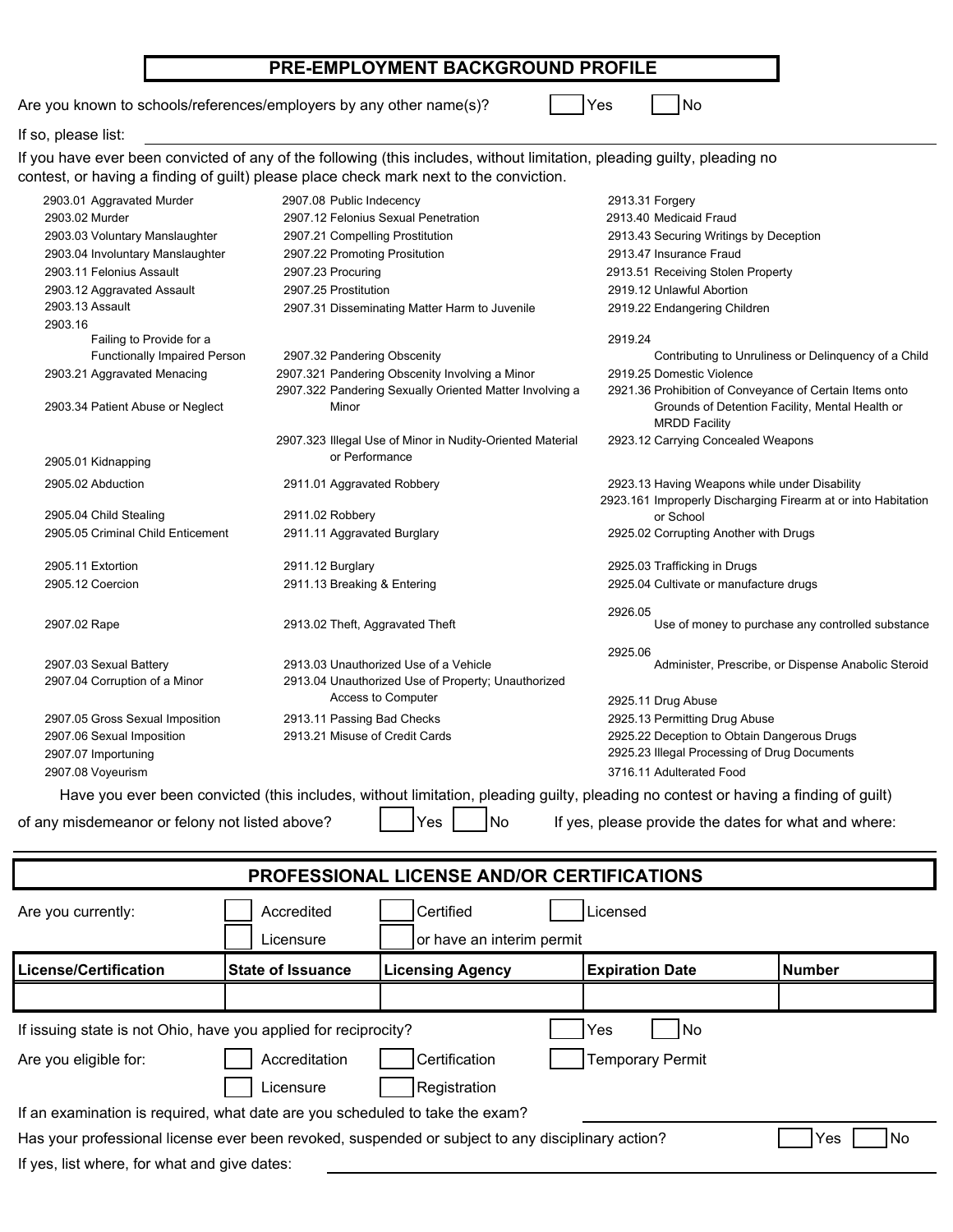## **PRE-EMPLOYMENT BACKGROUND PROFILE**

Are you known to schools/references/employers by any other name(s)? Yes No

If so, please list:

|                                     | If you have ever been convicted of any of the following (this includes, without limitation, pleading guilty, pleading no<br>contest, or having a finding of guilt) please place check mark next to the conviction. |                                                                                                                                    |
|-------------------------------------|--------------------------------------------------------------------------------------------------------------------------------------------------------------------------------------------------------------------|------------------------------------------------------------------------------------------------------------------------------------|
| 2903.01 Aggravated Murder           | 2907.08 Public Indecency                                                                                                                                                                                           | 2913.31 Forgery                                                                                                                    |
| 2903.02 Murder                      | 2907.12 Felonius Sexual Penetration                                                                                                                                                                                | 2913.40 Medicaid Fraud                                                                                                             |
| 2903.03 Voluntary Manslaughter      | 2907.21 Compelling Prostitution                                                                                                                                                                                    | 2913.43 Securing Writings by Deception                                                                                             |
| 2903.04 Involuntary Manslaughter    | 2907.22 Promoting Prositution                                                                                                                                                                                      | 2913.47 Insurance Fraud                                                                                                            |
| 2903.11 Felonius Assault            | 2907.23 Procuring                                                                                                                                                                                                  | 2913.51 Receiving Stolen Property                                                                                                  |
| 2903.12 Aggravated Assault          | 2907.25 Prostitution                                                                                                                                                                                               | 2919.12 Unlawful Abortion                                                                                                          |
| 2903.13 Assault                     | 2907.31 Disseminating Matter Harm to Juvenile                                                                                                                                                                      | 2919.22 Endangering Children                                                                                                       |
| 2903.16                             |                                                                                                                                                                                                                    |                                                                                                                                    |
| Failing to Provide for a            |                                                                                                                                                                                                                    | 2919.24                                                                                                                            |
| <b>Functionally Impaired Person</b> | 2907.32 Pandering Obscenity                                                                                                                                                                                        | Contributing to Unruliness or Delinguency of a Child                                                                               |
| 2903.21 Aggravated Menacing         | 2907.321 Pandering Obscenity Involving a Minor                                                                                                                                                                     | 2919.25 Domestic Violence                                                                                                          |
| 2903.34 Patient Abuse or Neglect    | 2907.322 Pandering Sexually Oriented Matter Involving a<br>Minor                                                                                                                                                   | 2921.36 Prohibition of Conveyance of Certain Items onto<br>Grounds of Detention Facility, Mental Health or<br><b>MRDD Facility</b> |
| 2905.01 Kidnapping                  | 2907.323 Illegal Use of Minor in Nudity-Oriented Material<br>or Performance                                                                                                                                        | 2923.12 Carrying Concealed Weapons                                                                                                 |
| 2905.02 Abduction                   | 2911.01 Aggravated Robbery                                                                                                                                                                                         | 2923.13 Having Weapons while under Disability                                                                                      |

2905.04 Child Stealing 2911.02 Robbery 2905.05 Criminal Child Enticement 2911.11 Aggravated Burglary 2925.02 Corrupting Another with Drugs

2905.11 Extortion 2911.12 Burglary 2925.03 Trafficking in Drugs 2905.12 Coercion 2911.13 Breaking & Entering 2925.04 Cultivate or manufacture drugs

2907.02 Rape 2913.02 Theft, Aggravated Theft

2907.03 Sexual Battery 2913.03 Unauthorized Use of a Vehicle 2907.04 Corruption of a Minor

2907.08 Voyeurism 3716.11 Adulterated Food

2925.06 2925.11 Drug Abuse 2907.05 Gross Sexual Imposition 2913.11 Passing Bad Checks 2925.13 Permitting Drug Abuse 2907.06 Sexual Imposition 2913.21 Misuse of Credit Cards 2925.22 Deception to Obtain Dangerous Drugs 2907.07 Importuning 2925.23 Illegal Processing of Drug Documents Administer, Prescribe, or Dispense Anabolic Steroid

2923.161 Improperly Discharging Firearm at or into Habitation

Use of money to purchase any controlled substance

or School

2926.05

Have you ever been convicted (this includes, without limitation, pleading guilty, pleading no contest or having a finding of guilt)

2913.04 Unauthorized Use of Property; Unauthorized

Access to Computer

of any misdemeanor or felony not listed above? Yes No If yes, please provide the dates for what and where:

| <b>PROFESSIONAL LICENSE AND/OR CERTIFICATIONS</b>                                                               |                                                                               |                         |                         |               |
|-----------------------------------------------------------------------------------------------------------------|-------------------------------------------------------------------------------|-------------------------|-------------------------|---------------|
| Are you currently:                                                                                              | Accredited<br>Certified<br>Licensed<br>or have an interim permit<br>Licensure |                         |                         |               |
| License/Certification                                                                                           | <b>State of Issuance</b>                                                      | <b>Licensing Agency</b> | <b>Expiration Date</b>  | <b>Number</b> |
|                                                                                                                 |                                                                               |                         |                         |               |
| If issuing state is not Ohio, have you applied for reciprocity?<br>Yes<br>l No                                  |                                                                               |                         |                         |               |
| Are you eligible for:                                                                                           | Accreditation                                                                 | Certification           | <b>Temporary Permit</b> |               |
|                                                                                                                 | Licensure                                                                     | Registration            |                         |               |
| If an examination is required, what date are you scheduled to take the exam?                                    |                                                                               |                         |                         |               |
| Has your professional license ever been revoked, suspended or subject to any disciplinary action?<br>Yes<br>No. |                                                                               |                         |                         |               |
| If yes, list where, for what and give dates:                                                                    |                                                                               |                         |                         |               |
|                                                                                                                 |                                                                               |                         |                         |               |